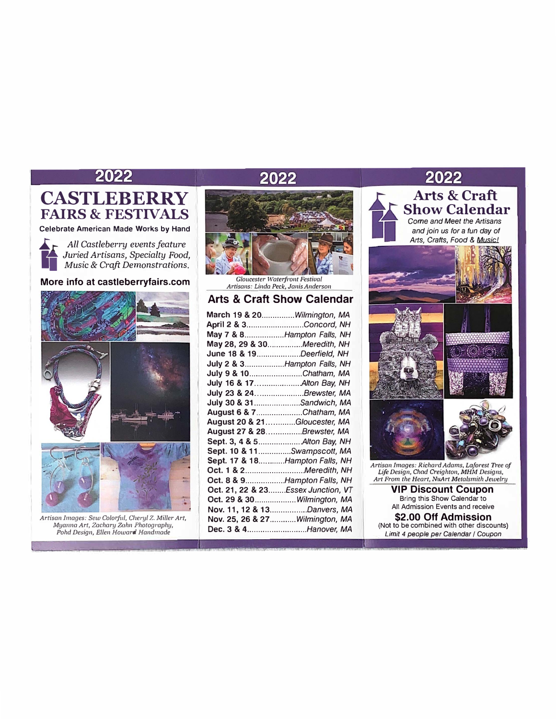## 2022

# **CASTLEBERRY FAIRS & FESTIVALS**

**Celebrate American Made Works by Hand** 



*\_..: r- All Castleberry events feature <sup>I</sup>Juried Artisans, Specialty Food, Music* & *Craft Demonstrations.* 

**More info at castleberryfairs.com** 





*Artisan Images: Sew Colorful, Cheryl Z. Miller Art, Myarma Art, Zachary Zahn Photography, Pohd Design, Ellen Howard Handmade* 

# 2022



*Gloucester Waterfront Festiual Artisans: Linda Peck, Janis Anderson* 

## **Arts & Craft Show Calendar**

| <b>March 19 &amp; 20Wilmington, MA</b> |
|----------------------------------------|
| April 2 & 3Concord, NH                 |
| May 7 & 8Hampton Falls, NH             |
| May 28, 29 & 30Meredith, NH            |
| June 18 & 19Deerfield, NH              |
| July 2 & 3Hampton Falls, NH            |
| July 9 & 10Chatham, MA                 |
| July 16 & 17 Alton Bay, NH             |
| July 23 & 24. Brewster, MA             |
| July 30 & 31Sandwich, MA               |
| August 6 & 7Chatham, MA                |
| August 20 & 21Gloucester, MA           |
| August 27 & 28Brewster, MA             |
| Sept. 3, 4 & 5 Alton Bay, NH           |
| Sept. 10 & 11Swampscott, MA            |
| Sept. 17 & 18Hampton Falls, NH         |
| Oct. 1 & 2Meredith, NH                 |
| Oct. 8 & 9Hampton Falls, NH            |
| Oct. 21, 22 & 23Essex Junction, VT     |
| Oct. 29 & 30Wilmington, MA             |
| Nov. 11, 12 & 13Danvers, MA            |
| Nov. 25, 26 & 27Wilmington, MA         |
| Dec. 3 & 4Hanover, MA                  |
|                                        |